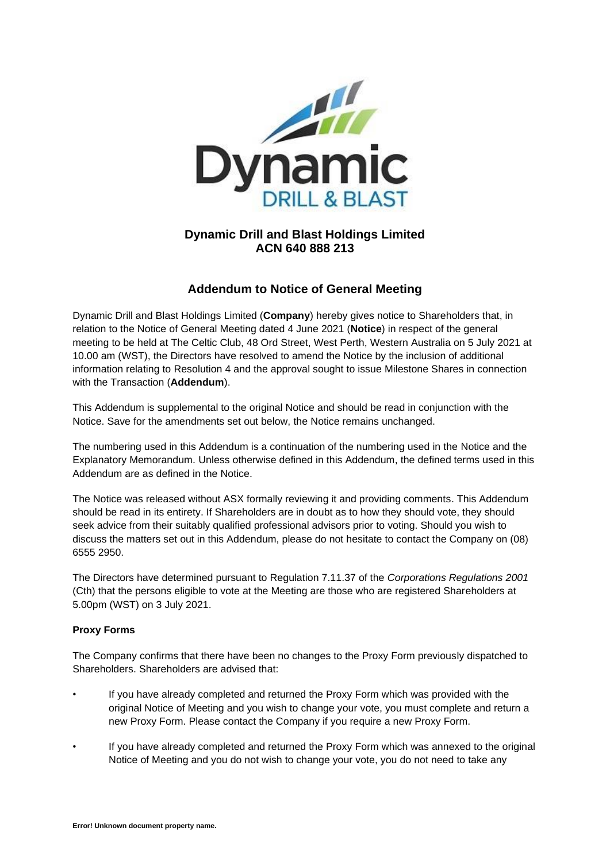

# **Dynamic Drill and Blast Holdings Limited ACN 640 888 213**

# **Addendum to Notice of General Meeting**

Dynamic Drill and Blast Holdings Limited (**Company**) hereby gives notice to Shareholders that, in relation to the Notice of General Meeting dated 4 June 2021 (**Notice**) in respect of the general meeting to be held at The Celtic Club, 48 Ord Street, West Perth, Western Australia on 5 July 2021 at 10.00 am (WST), the Directors have resolved to amend the Notice by the inclusion of additional information relating to Resolution 4 and the approval sought to issue Milestone Shares in connection with the Transaction (**Addendum**).

This Addendum is supplemental to the original Notice and should be read in conjunction with the Notice. Save for the amendments set out below, the Notice remains unchanged.

The numbering used in this Addendum is a continuation of the numbering used in the Notice and the Explanatory Memorandum. Unless otherwise defined in this Addendum, the defined terms used in this Addendum are as defined in the Notice.

The Notice was released without ASX formally reviewing it and providing comments. This Addendum should be read in its entirety. If Shareholders are in doubt as to how they should vote, they should seek advice from their suitably qualified professional advisors prior to voting. Should you wish to discuss the matters set out in this Addendum, please do not hesitate to contact the Company on (08) 6555 2950.

The Directors have determined pursuant to Regulation 7.11.37 of the *Corporations Regulations 2001* (Cth) that the persons eligible to vote at the Meeting are those who are registered Shareholders at 5.00pm (WST) on 3 July 2021.

#### **Proxy Forms**

The Company confirms that there have been no changes to the Proxy Form previously dispatched to Shareholders. Shareholders are advised that:

- If you have already completed and returned the Proxy Form which was provided with the original Notice of Meeting and you wish to change your vote, you must complete and return a new Proxy Form. Please contact the Company if you require a new Proxy Form.
- If you have already completed and returned the Proxy Form which was annexed to the original Notice of Meeting and you do not wish to change your vote, you do not need to take any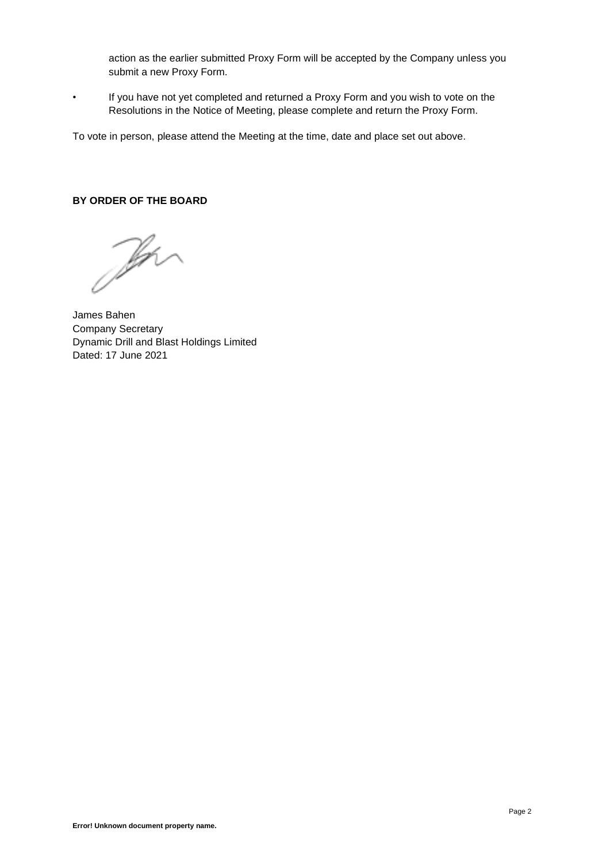action as the earlier submitted Proxy Form will be accepted by the Company unless you submit a new Proxy Form.

• If you have not yet completed and returned a Proxy Form and you wish to vote on the Resolutions in the Notice of Meeting, please complete and return the Proxy Form.

To vote in person, please attend the Meeting at the time, date and place set out above.

### **BY ORDER OF THE BOARD**

Jen

James Bahen Company Secretary Dynamic Drill and Blast Holdings Limited Dated: 17 June 2021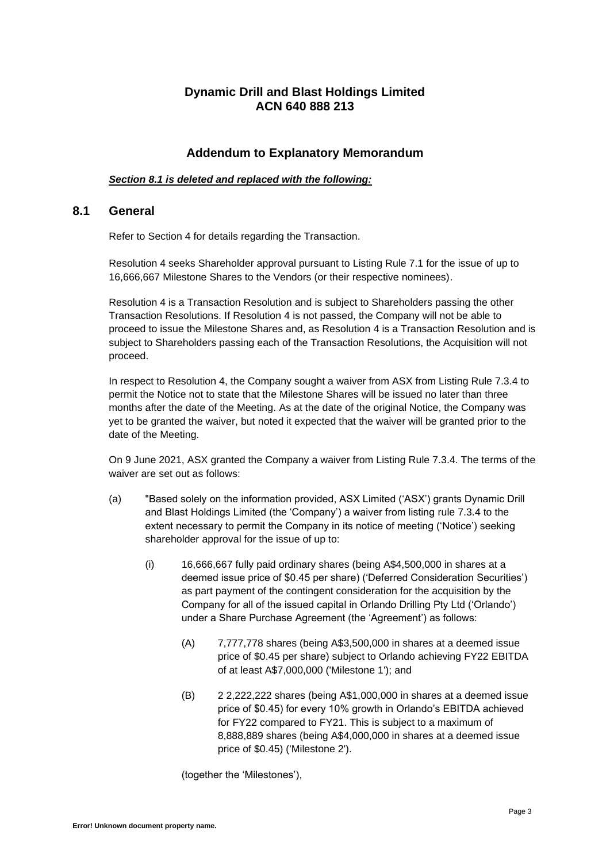## **Dynamic Drill and Blast Holdings Limited ACN 640 888 213**

### **Addendum to Explanatory Memorandum**

#### *Section 8.1 is deleted and replaced with the following:*

### **8.1 General**

Refer to Section 4 for details regarding the Transaction.

Resolution 4 seeks Shareholder approval pursuant to Listing Rule 7.1 for the issue of up to 16,666,667 Milestone Shares to the Vendors (or their respective nominees).

Resolution 4 is a Transaction Resolution and is subject to Shareholders passing the other Transaction Resolutions. If Resolution 4 is not passed, the Company will not be able to proceed to issue the Milestone Shares and, as Resolution 4 is a Transaction Resolution and is subject to Shareholders passing each of the Transaction Resolutions, the Acquisition will not proceed.

In respect to Resolution 4, the Company sought a waiver from ASX from Listing Rule 7.3.4 to permit the Notice not to state that the Milestone Shares will be issued no later than three months after the date of the Meeting. As at the date of the original Notice, the Company was yet to be granted the waiver, but noted it expected that the waiver will be granted prior to the date of the Meeting.

On 9 June 2021, ASX granted the Company a waiver from Listing Rule 7.3.4. The terms of the waiver are set out as follows:

- (a) "Based solely on the information provided, ASX Limited ('ASX') grants Dynamic Drill and Blast Holdings Limited (the 'Company') a waiver from listing rule 7.3.4 to the extent necessary to permit the Company in its notice of meeting ('Notice') seeking shareholder approval for the issue of up to:
	- (i) 16,666,667 fully paid ordinary shares (being A\$4,500,000 in shares at a deemed issue price of \$0.45 per share) ('Deferred Consideration Securities') as part payment of the contingent consideration for the acquisition by the Company for all of the issued capital in Orlando Drilling Pty Ltd ('Orlando') under a Share Purchase Agreement (the 'Agreement') as follows:
		- (A) 7,777,778 shares (being A\$3,500,000 in shares at a deemed issue price of \$0.45 per share) subject to Orlando achieving FY22 EBITDA of at least A\$7,000,000 ('Milestone 1'); and
		- (B) 2 2,222,222 shares (being A\$1,000,000 in shares at a deemed issue price of \$0.45) for every 10% growth in Orlando's EBITDA achieved for FY22 compared to FY21. This is subject to a maximum of 8,888,889 shares (being A\$4,000,000 in shares at a deemed issue price of \$0.45) ('Milestone 2').

(together the 'Milestones'),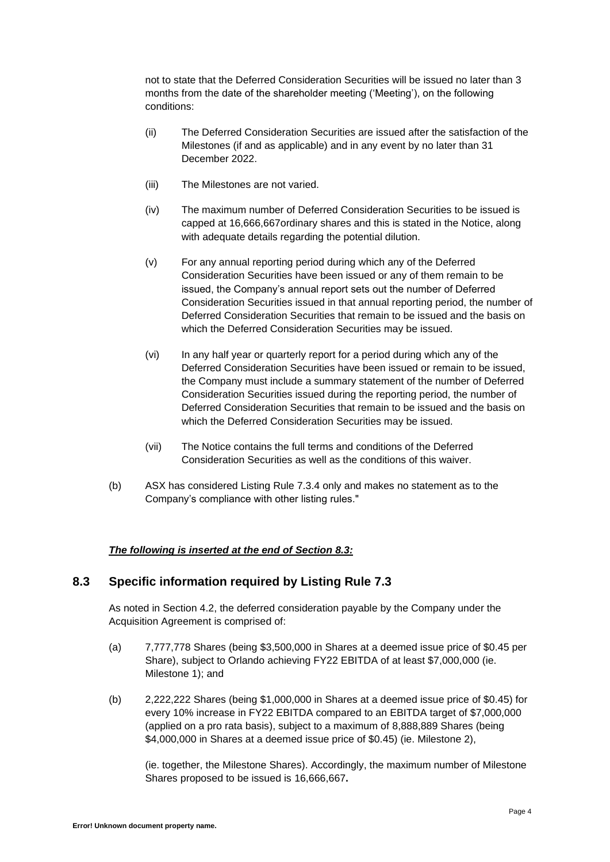not to state that the Deferred Consideration Securities will be issued no later than 3 months from the date of the shareholder meeting ('Meeting'), on the following conditions:

- (ii) The Deferred Consideration Securities are issued after the satisfaction of the Milestones (if and as applicable) and in any event by no later than 31 December 2022.
- (iii) The Milestones are not varied.
- (iv) The maximum number of Deferred Consideration Securities to be issued is capped at 16,666,667ordinary shares and this is stated in the Notice, along with adequate details regarding the potential dilution.
- (v) For any annual reporting period during which any of the Deferred Consideration Securities have been issued or any of them remain to be issued, the Company's annual report sets out the number of Deferred Consideration Securities issued in that annual reporting period, the number of Deferred Consideration Securities that remain to be issued and the basis on which the Deferred Consideration Securities may be issued.
- (vi) In any half year or quarterly report for a period during which any of the Deferred Consideration Securities have been issued or remain to be issued, the Company must include a summary statement of the number of Deferred Consideration Securities issued during the reporting period, the number of Deferred Consideration Securities that remain to be issued and the basis on which the Deferred Consideration Securities may be issued.
- (vii) The Notice contains the full terms and conditions of the Deferred Consideration Securities as well as the conditions of this waiver.
- (b) ASX has considered Listing Rule 7.3.4 only and makes no statement as to the Company's compliance with other listing rules."

### *The following is inserted at the end of Section 8.3:*

## **8.3 Specific information required by Listing Rule 7.3**

As noted in Section 4.2, the deferred consideration payable by the Company under the Acquisition Agreement is comprised of:

- (a) 7,777,778 Shares (being \$3,500,000 in Shares at a deemed issue price of \$0.45 per Share), subject to Orlando achieving FY22 EBITDA of at least \$7,000,000 (ie. Milestone 1); and
- (b) 2,222,222 Shares (being \$1,000,000 in Shares at a deemed issue price of \$0.45) for every 10% increase in FY22 EBITDA compared to an EBITDA target of \$7,000,000 (applied on a pro rata basis), subject to a maximum of 8,888,889 Shares (being \$4,000,000 in Shares at a deemed issue price of \$0.45) (ie. Milestone 2),

(ie. together, the Milestone Shares). Accordingly, the maximum number of Milestone Shares proposed to be issued is 16,666,667**.**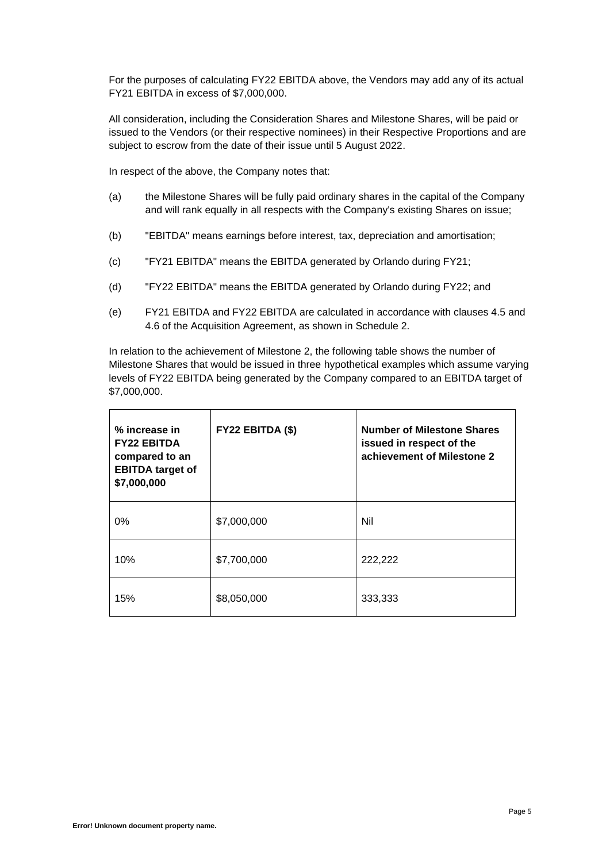For the purposes of calculating FY22 EBITDA above, the Vendors may add any of its actual FY21 EBITDA in excess of \$7,000,000.

All consideration, including the Consideration Shares and Milestone Shares, will be paid or issued to the Vendors (or their respective nominees) in their Respective Proportions and are subject to escrow from the date of their issue until 5 August 2022.

In respect of the above, the Company notes that:

- (a) the Milestone Shares will be fully paid ordinary shares in the capital of the Company and will rank equally in all respects with the Company's existing Shares on issue;
- (b) "EBITDA" means earnings before interest, tax, depreciation and amortisation;
- (c) "FY21 EBITDA" means the EBITDA generated by Orlando during FY21;
- (d) "FY22 EBITDA" means the EBITDA generated by Orlando during FY22; and
- (e) FY21 EBITDA and FY22 EBITDA are calculated in accordance with clauses 4.5 and 4.6 of the Acquisition Agreement, as shown in Schedule 2.

In relation to the achievement of Milestone 2, the following table shows the number of Milestone Shares that would be issued in three hypothetical examples which assume varying levels of FY22 EBITDA being generated by the Company compared to an EBITDA target of \$7,000,000.

| % increase in<br><b>FY22 EBITDA</b><br>compared to an<br><b>EBITDA</b> target of<br>\$7,000,000 | FY22 EBITDA (\$) | <b>Number of Milestone Shares</b><br>issued in respect of the<br>achievement of Milestone 2 |
|-------------------------------------------------------------------------------------------------|------------------|---------------------------------------------------------------------------------------------|
| $0\%$                                                                                           | \$7,000,000      | Nil                                                                                         |
| 10%                                                                                             | \$7,700,000      | 222,222                                                                                     |
| 15%                                                                                             | \$8,050,000      | 333,333                                                                                     |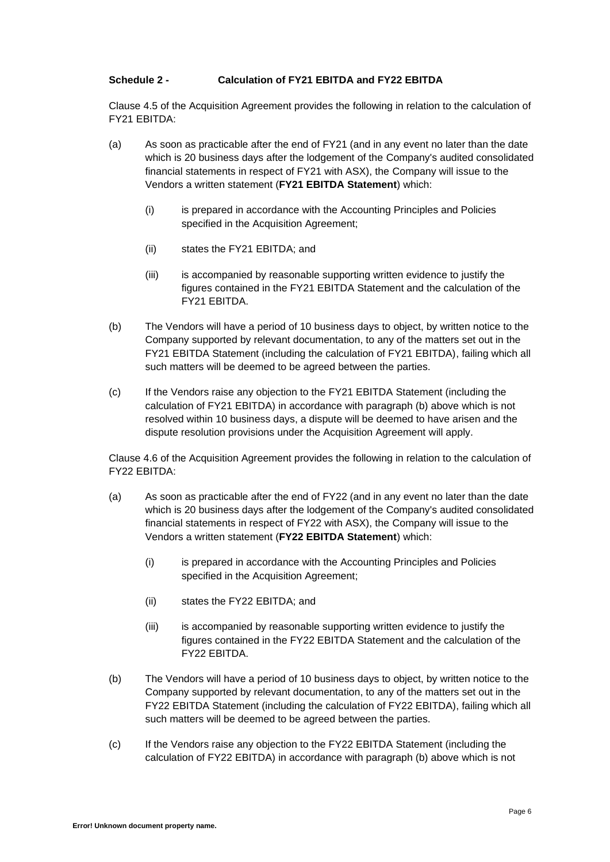#### **Schedule 2 - Calculation of FY21 EBITDA and FY22 EBITDA**

Clause 4.5 of the Acquisition Agreement provides the following in relation to the calculation of FY21 EBITDA:

- (a) As soon as practicable after the end of FY21 (and in any event no later than the date which is 20 business days after the lodgement of the Company's audited consolidated financial statements in respect of FY21 with ASX), the Company will issue to the Vendors a written statement (**FY21 EBITDA Statement**) which:
	- (i) is prepared in accordance with the Accounting Principles and Policies specified in the Acquisition Agreement;
	- (ii) states the FY21 EBITDA; and
	- (iii) is accompanied by reasonable supporting written evidence to justify the figures contained in the FY21 EBITDA Statement and the calculation of the FY21 EBITDA.
- (b) The Vendors will have a period of 10 business days to object, by written notice to the Company supported by relevant documentation, to any of the matters set out in the FY21 EBITDA Statement (including the calculation of FY21 EBITDA), failing which all such matters will be deemed to be agreed between the parties.
- (c) If the Vendors raise any objection to the FY21 EBITDA Statement (including the calculation of FY21 EBITDA) in accordance with paragraph (b) above which is not resolved within 10 business days, a dispute will be deemed to have arisen and the dispute resolution provisions under the Acquisition Agreement will apply.

Clause 4.6 of the Acquisition Agreement provides the following in relation to the calculation of FY22 EBITDA:

- (a) As soon as practicable after the end of FY22 (and in any event no later than the date which is 20 business days after the lodgement of the Company's audited consolidated financial statements in respect of FY22 with ASX), the Company will issue to the Vendors a written statement (**FY22 EBITDA Statement**) which:
	- (i) is prepared in accordance with the Accounting Principles and Policies specified in the Acquisition Agreement;
	- (ii) states the FY22 EBITDA; and
	- (iii) is accompanied by reasonable supporting written evidence to justify the figures contained in the FY22 EBITDA Statement and the calculation of the FY22 EBITDA.
- (b) The Vendors will have a period of 10 business days to object, by written notice to the Company supported by relevant documentation, to any of the matters set out in the FY22 EBITDA Statement (including the calculation of FY22 EBITDA), failing which all such matters will be deemed to be agreed between the parties.
- (c) If the Vendors raise any objection to the FY22 EBITDA Statement (including the calculation of FY22 EBITDA) in accordance with paragraph (b) above which is not